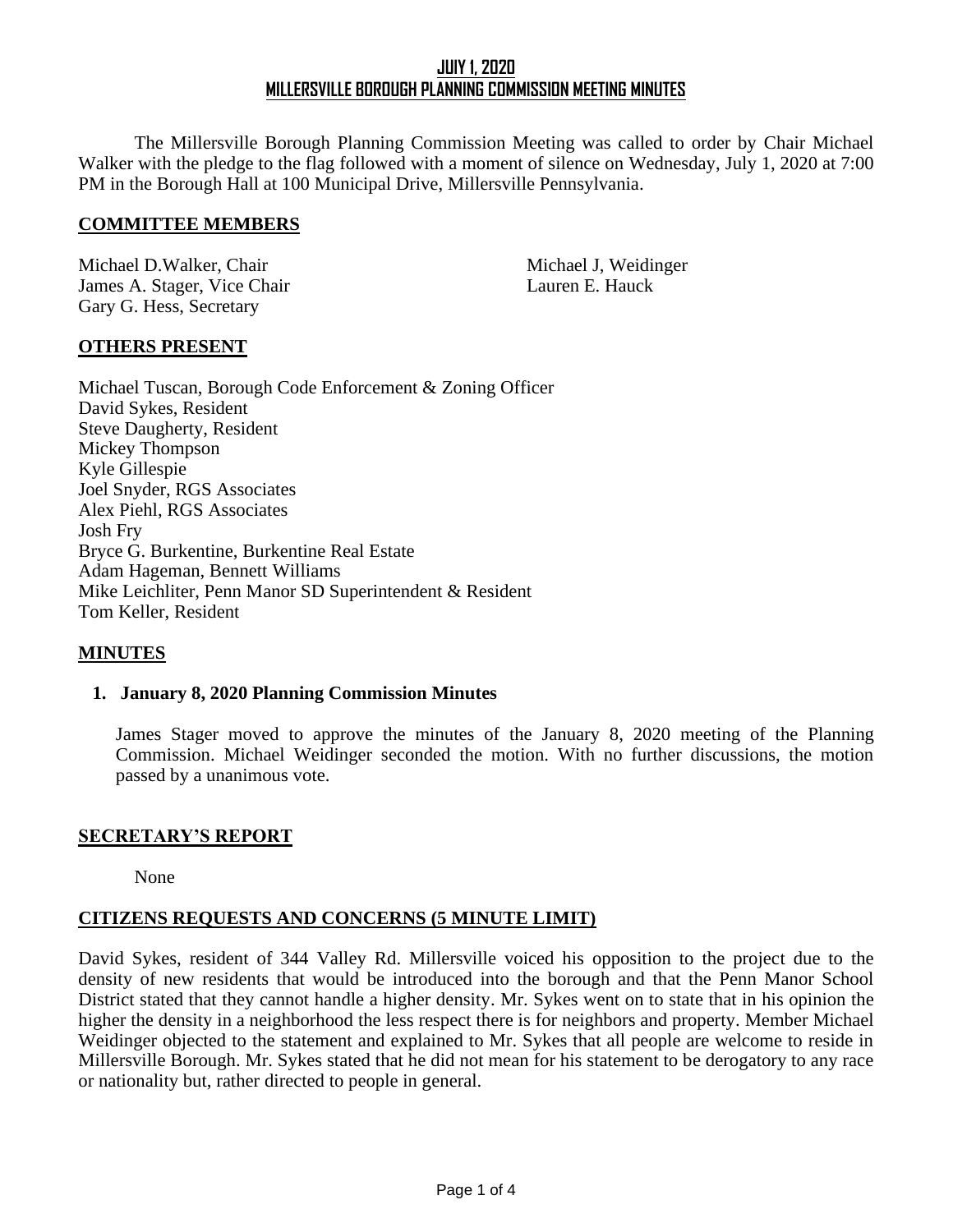The Millersville Borough Planning Commission Meeting was called to order by Chair Michael Walker with the pledge to the flag followed with a moment of silence on Wednesday, July 1, 2020 at 7:00 PM in the Borough Hall at 100 Municipal Drive, Millersville Pennsylvania.

#### **COMMITTEE MEMBERS**

Michael D.Walker, Chair Michael J, Weidinger James A. Stager, Vice Chair Lauren E. Hauck Gary G. Hess, Secretary

## **OTHERS PRESENT**

Michael Tuscan, Borough Code Enforcement & Zoning Officer David Sykes, Resident Steve Daugherty, Resident Mickey Thompson Kyle Gillespie Joel Snyder, RGS Associates Alex Piehl, RGS Associates Josh Fry Bryce G. Burkentine, Burkentine Real Estate Adam Hageman, Bennett Williams Mike Leichliter, Penn Manor SD Superintendent & Resident Tom Keller, Resident

## **MINUTES**

#### **1. January 8, 2020 Planning Commission Minutes**

James Stager moved to approve the minutes of the January 8, 2020 meeting of the Planning Commission. Michael Weidinger seconded the motion. With no further discussions, the motion passed by a unanimous vote.

## **SECRETARY'S REPORT**

None

# **CITIZENS REQUESTS AND CONCERNS (5 MINUTE LIMIT)**

David Sykes, resident of 344 Valley Rd. Millersville voiced his opposition to the project due to the density of new residents that would be introduced into the borough and that the Penn Manor School District stated that they cannot handle a higher density. Mr. Sykes went on to state that in his opinion the higher the density in a neighborhood the less respect there is for neighbors and property. Member Michael Weidinger objected to the statement and explained to Mr. Sykes that all people are welcome to reside in Millersville Borough. Mr. Sykes stated that he did not mean for his statement to be derogatory to any race or nationality but, rather directed to people in general.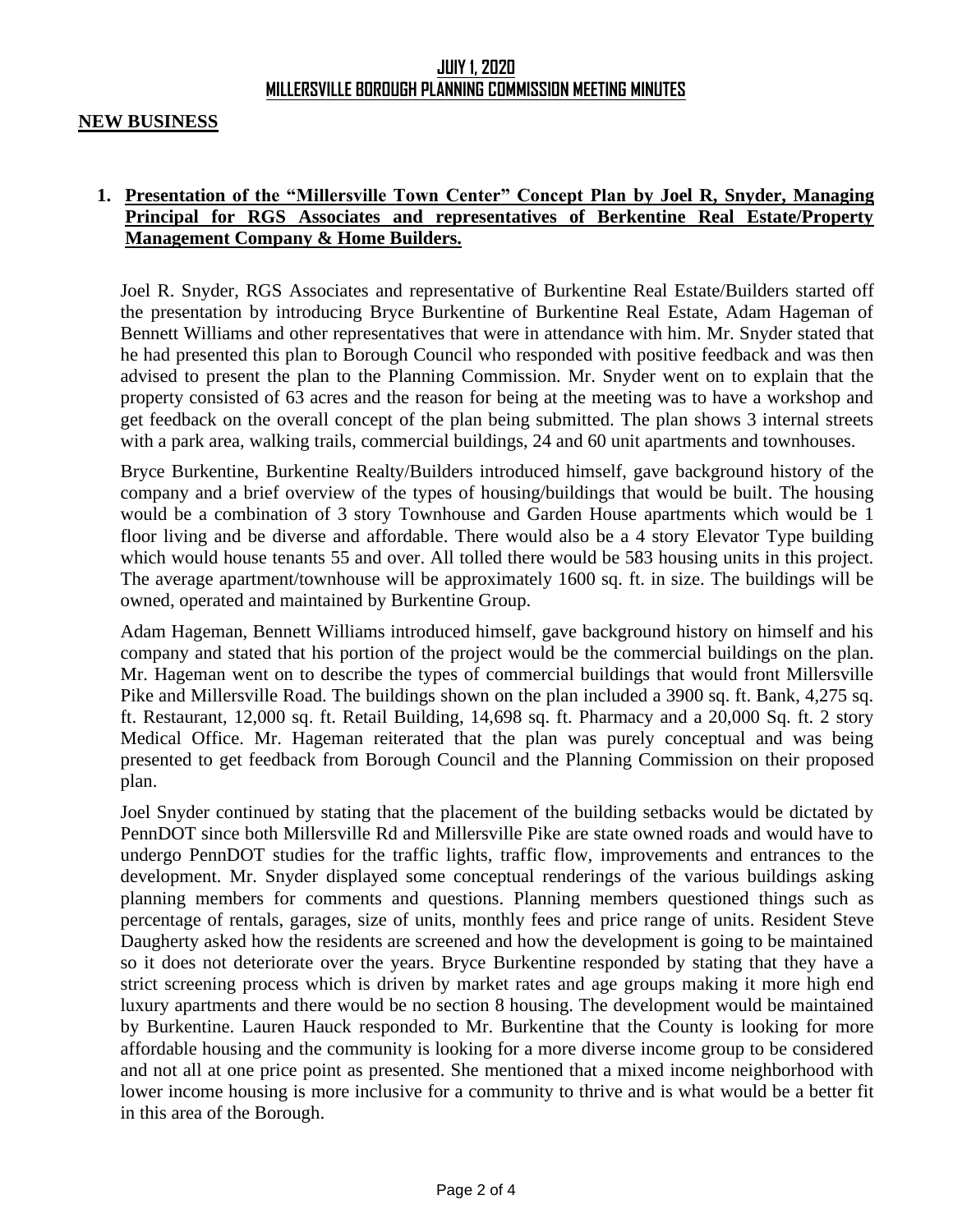#### **NEW BUSINESS**

## **1. Presentation of the "Millersville Town Center" Concept Plan by Joel R, Snyder, Managing Principal for RGS Associates and representatives of Berkentine Real Estate/Property Management Company & Home Builders.**

Joel R. Snyder, RGS Associates and representative of Burkentine Real Estate/Builders started off the presentation by introducing Bryce Burkentine of Burkentine Real Estate, Adam Hageman of Bennett Williams and other representatives that were in attendance with him. Mr. Snyder stated that he had presented this plan to Borough Council who responded with positive feedback and was then advised to present the plan to the Planning Commission. Mr. Snyder went on to explain that the property consisted of 63 acres and the reason for being at the meeting was to have a workshop and get feedback on the overall concept of the plan being submitted. The plan shows 3 internal streets with a park area, walking trails, commercial buildings, 24 and 60 unit apartments and townhouses.

Bryce Burkentine, Burkentine Realty/Builders introduced himself, gave background history of the company and a brief overview of the types of housing/buildings that would be built. The housing would be a combination of 3 story Townhouse and Garden House apartments which would be 1 floor living and be diverse and affordable. There would also be a 4 story Elevator Type building which would house tenants 55 and over. All tolled there would be 583 housing units in this project. The average apartment/townhouse will be approximately 1600 sq. ft. in size. The buildings will be owned, operated and maintained by Burkentine Group.

Adam Hageman, Bennett Williams introduced himself, gave background history on himself and his company and stated that his portion of the project would be the commercial buildings on the plan. Mr. Hageman went on to describe the types of commercial buildings that would front Millersville Pike and Millersville Road. The buildings shown on the plan included a 3900 sq. ft. Bank, 4,275 sq. ft. Restaurant, 12,000 sq. ft. Retail Building, 14,698 sq. ft. Pharmacy and a 20,000 Sq. ft. 2 story Medical Office. Mr. Hageman reiterated that the plan was purely conceptual and was being presented to get feedback from Borough Council and the Planning Commission on their proposed plan.

Joel Snyder continued by stating that the placement of the building setbacks would be dictated by PennDOT since both Millersville Rd and Millersville Pike are state owned roads and would have to undergo PennDOT studies for the traffic lights, traffic flow, improvements and entrances to the development. Mr. Snyder displayed some conceptual renderings of the various buildings asking planning members for comments and questions. Planning members questioned things such as percentage of rentals, garages, size of units, monthly fees and price range of units. Resident Steve Daugherty asked how the residents are screened and how the development is going to be maintained so it does not deteriorate over the years. Bryce Burkentine responded by stating that they have a strict screening process which is driven by market rates and age groups making it more high end luxury apartments and there would be no section 8 housing. The development would be maintained by Burkentine. Lauren Hauck responded to Mr. Burkentine that the County is looking for more affordable housing and the community is looking for a more diverse income group to be considered and not all at one price point as presented. She mentioned that a mixed income neighborhood with lower income housing is more inclusive for a community to thrive and is what would be a better fit in this area of the Borough.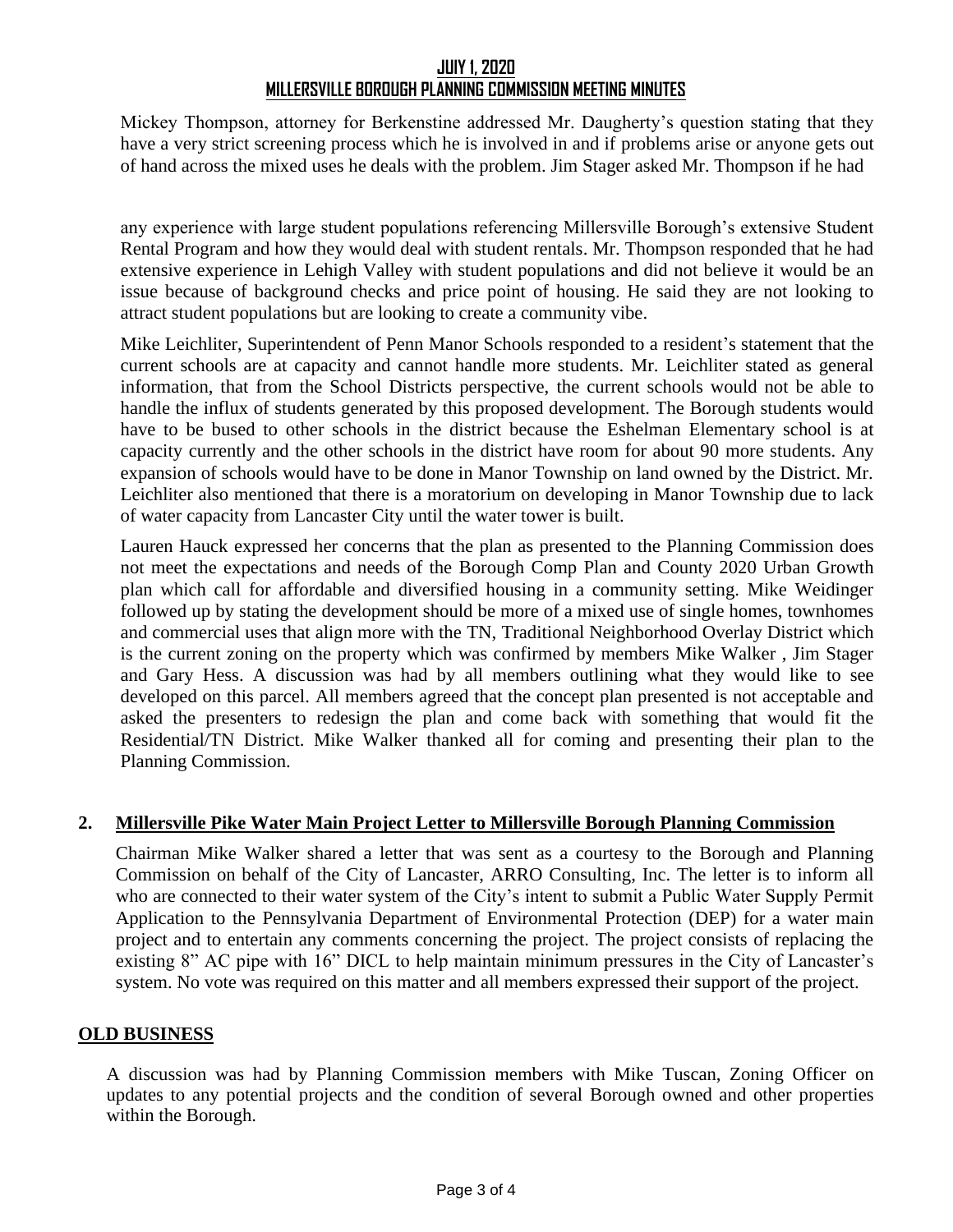Mickey Thompson, attorney for Berkenstine addressed Mr. Daugherty's question stating that they have a very strict screening process which he is involved in and if problems arise or anyone gets out of hand across the mixed uses he deals with the problem. Jim Stager asked Mr. Thompson if he had

any experience with large student populations referencing Millersville Borough's extensive Student Rental Program and how they would deal with student rentals. Mr. Thompson responded that he had extensive experience in Lehigh Valley with student populations and did not believe it would be an issue because of background checks and price point of housing. He said they are not looking to attract student populations but are looking to create a community vibe.

Mike Leichliter, Superintendent of Penn Manor Schools responded to a resident's statement that the current schools are at capacity and cannot handle more students. Mr. Leichliter stated as general information, that from the School Districts perspective, the current schools would not be able to handle the influx of students generated by this proposed development. The Borough students would have to be bused to other schools in the district because the Eshelman Elementary school is at capacity currently and the other schools in the district have room for about 90 more students. Any expansion of schools would have to be done in Manor Township on land owned by the District. Mr. Leichliter also mentioned that there is a moratorium on developing in Manor Township due to lack of water capacity from Lancaster City until the water tower is built.

Lauren Hauck expressed her concerns that the plan as presented to the Planning Commission does not meet the expectations and needs of the Borough Comp Plan and County 2020 Urban Growth plan which call for affordable and diversified housing in a community setting. Mike Weidinger followed up by stating the development should be more of a mixed use of single homes, townhomes and commercial uses that align more with the TN, Traditional Neighborhood Overlay District which is the current zoning on the property which was confirmed by members Mike Walker , Jim Stager and Gary Hess. A discussion was had by all members outlining what they would like to see developed on this parcel. All members agreed that the concept plan presented is not acceptable and asked the presenters to redesign the plan and come back with something that would fit the Residential/TN District. Mike Walker thanked all for coming and presenting their plan to the Planning Commission.

# **2. Millersville Pike Water Main Project Letter to Millersville Borough Planning Commission**

Chairman Mike Walker shared a letter that was sent as a courtesy to the Borough and Planning Commission on behalf of the City of Lancaster, ARRO Consulting, Inc. The letter is to inform all who are connected to their water system of the City's intent to submit a Public Water Supply Permit Application to the Pennsylvania Department of Environmental Protection (DEP) for a water main project and to entertain any comments concerning the project. The project consists of replacing the existing 8" AC pipe with 16" DICL to help maintain minimum pressures in the City of Lancaster's system. No vote was required on this matter and all members expressed their support of the project.

## **OLD BUSINESS**

A discussion was had by Planning Commission members with Mike Tuscan, Zoning Officer on updates to any potential projects and the condition of several Borough owned and other properties within the Borough.